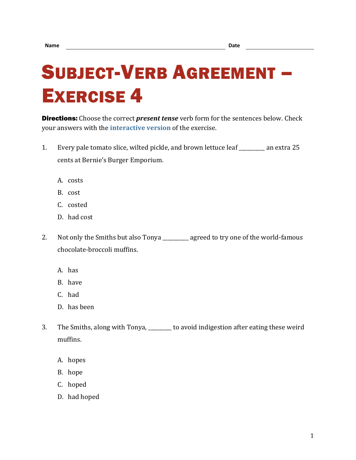## SUBJECT-VERB AGREEMENT – EXERCISE 4

Directions: Choose the correct *present tense* verb form for the sentences below. Check your answers with the **[interactive version](https://chompchomp.com/hotpotatoes/sva04.htm)** of the exercise.

- 1. Every pale tomato slice, wilted pickle, and brown lettuce leaf \_\_\_\_\_\_\_\_\_\_ an extra 25 cents at Bernie's Burger Emporium.
	- A. costs
	- B. cost
	- C. costed
	- D. had cost
- 2. Not only the Smiths but also Tonya \_\_\_\_\_\_\_\_ agreed to try one of the world-famous chocolate-broccoli muffins.
	- A. has
	- B. have
	- C. had
	- D. has been
- 3. The Smiths, along with Tonya, \_\_\_\_\_\_\_\_\_ to avoid indigestion after eating these weird muffins.
	- A. hopes
	- B. hope
	- C. hoped
	- D. had hoped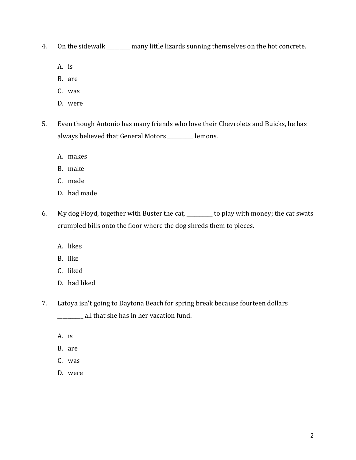- 4. On the sidewalk \_\_\_\_\_\_\_ many little lizards sunning themselves on the hot concrete.
	- A. is
	- B. are
	- C. was
	- D. were
- 5. Even though Antonio has many friends who love their Chevrolets and Buicks, he has always believed that General Motors \_\_\_\_\_\_\_\_\_\_ lemons.
	- A. makes
	- B. make
	- C. made
	- D. had made
- 6. My dog Floyd, together with Buster the cat, \_\_\_\_\_\_\_\_\_\_ to play with money; the cat swats crumpled bills onto the floor where the dog shreds them to pieces.
	- A. likes
	- B. like
	- C. liked
	- D. had liked
- 7. Latoya isn't going to Daytona Beach for spring break because fourteen dollars \_\_\_\_\_\_\_\_\_\_ all that she has in her vacation fund.
	- A. is
	- B. are
	- C. was
	- D. were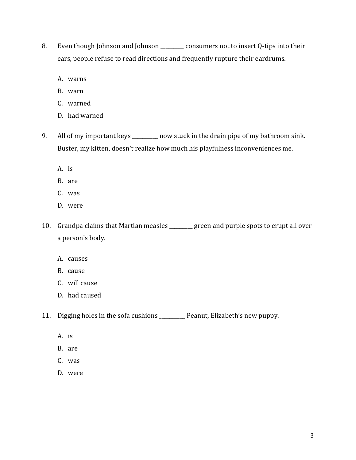- 8. Even though Johnson and Johnson \_\_\_\_\_\_\_ consumers not to insert Q-tips into their ears, people refuse to read directions and frequently rupture their eardrums.
	- A. warns
	- B. warn
	- C. warned
	- D. had warned
- 9. All of my important keys \_\_\_\_\_\_\_\_ now stuck in the drain pipe of my bathroom sink. Buster, my kitten, doesn't realize how much his playfulness inconveniences me.
	- A. is
	- B. are
	- C. was
	- D. were
- 10. Grandpa claims that Martian measles \_\_\_\_\_\_\_\_\_ green and purple spots to erupt all over a person's body.
	- A. causes
	- B. cause
	- C. will cause
	- D. had caused
- 11. Digging holes in the sofa cushions \_\_\_\_\_\_\_\_\_\_ Peanut, Elizabeth's new puppy.
	- A. is
	- B. are
	- C. was
	- D. were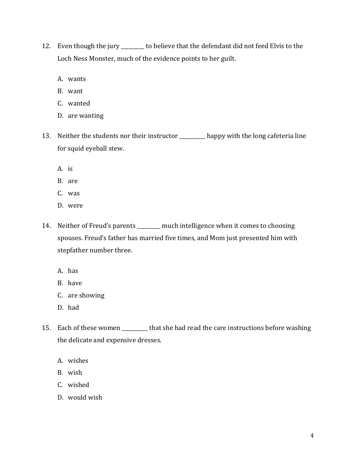- 12. Even though the jury \_\_\_\_\_\_\_ to believe that the defendant did not feed Elvis to the Loch Ness Monster, much of the evidence points to her guilt.
	- A. wants
	- B. want
	- C. wanted
	- D. are wanting
- 13. Neither the students nor their instructor \_\_\_\_\_\_\_\_\_\_ happy with the long cafeteria line for squid eyeball stew.
	- A. is
	- B. are
	- C. was
	- D. were
- 14. Neither of Freud's parents \_\_\_\_\_\_ much intelligence when it comes to choosing spouses. Freud's father has married five times, and Mom just presented him with stepfather number three.
	- A. has
	- B. have
	- C. are showing
	- D. had
- 15. Each of these women \_\_\_\_\_\_\_\_\_ that she had read the care instructions before washing the delicate and expensive dresses.
	- A. wishes
	- B. wish
	- C. wished
	- D. would wish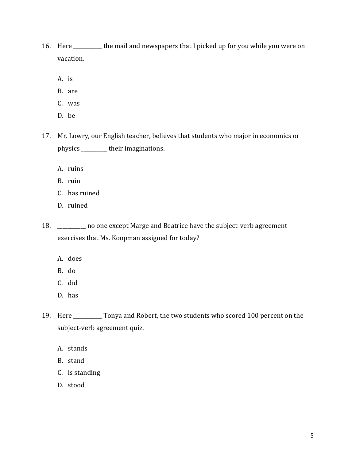- 16. Here \_\_\_\_\_\_\_\_\_\_\_ the mail and newspapers that I picked up for you while you were on vacation.
	- A. is
	- B. are
	- C. was
	- D. be
- 17. Mr. Lowry, our English teacher, believes that students who major in economics or physics \_\_\_\_\_\_\_\_\_\_ their imaginations.
	- A. ruins
	- B. ruin
	- C. has ruined
	- D. ruined

18. \_\_\_\_\_\_\_\_\_\_\_ no one except Marge and Beatrice have the subject-verb agreement exercises that Ms. Koopman assigned for today?

- A. does
- B. do
- C. did
- D. has
- 19. Here \_\_\_\_\_\_\_\_\_\_\_ Tonya and Robert, the two students who scored 100 percent on the subject-verb agreement quiz.
	- A. stands
	- B. stand
	- C. is standing
	- D. stood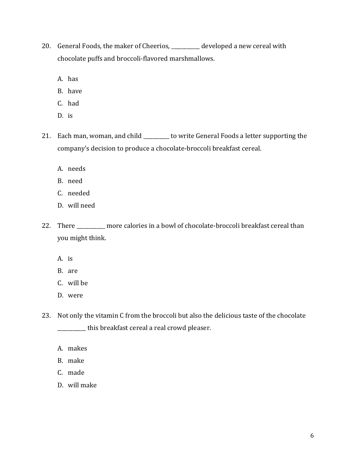- 20. General Foods, the maker of Cheerios, \_\_\_\_\_\_\_\_\_ developed a new cereal with chocolate puffs and broccoli-flavored marshmallows.
	- A. has
	- B. have
	- C. had
	- D. is
- 21. Each man, woman, and child \_\_\_\_\_\_\_ to write General Foods a letter supporting the company's decision to produce a chocolate-broccoli breakfast cereal.
	- A. needs
	- B. need
	- C. needed
	- D. will need
- 22. There \_\_\_\_\_\_\_\_\_ more calories in a bowl of chocolate-broccoli breakfast cereal than you might think.
	- A. is
	- B. are
	- C. will be
	- D. were
- 23. Not only the vitamin C from the broccoli but also the delicious taste of the chocolate \_\_\_\_\_\_\_\_\_\_\_ this breakfast cereal a real crowd pleaser.
	- A. makes
	- B. make
	- C. made
	- D. will make